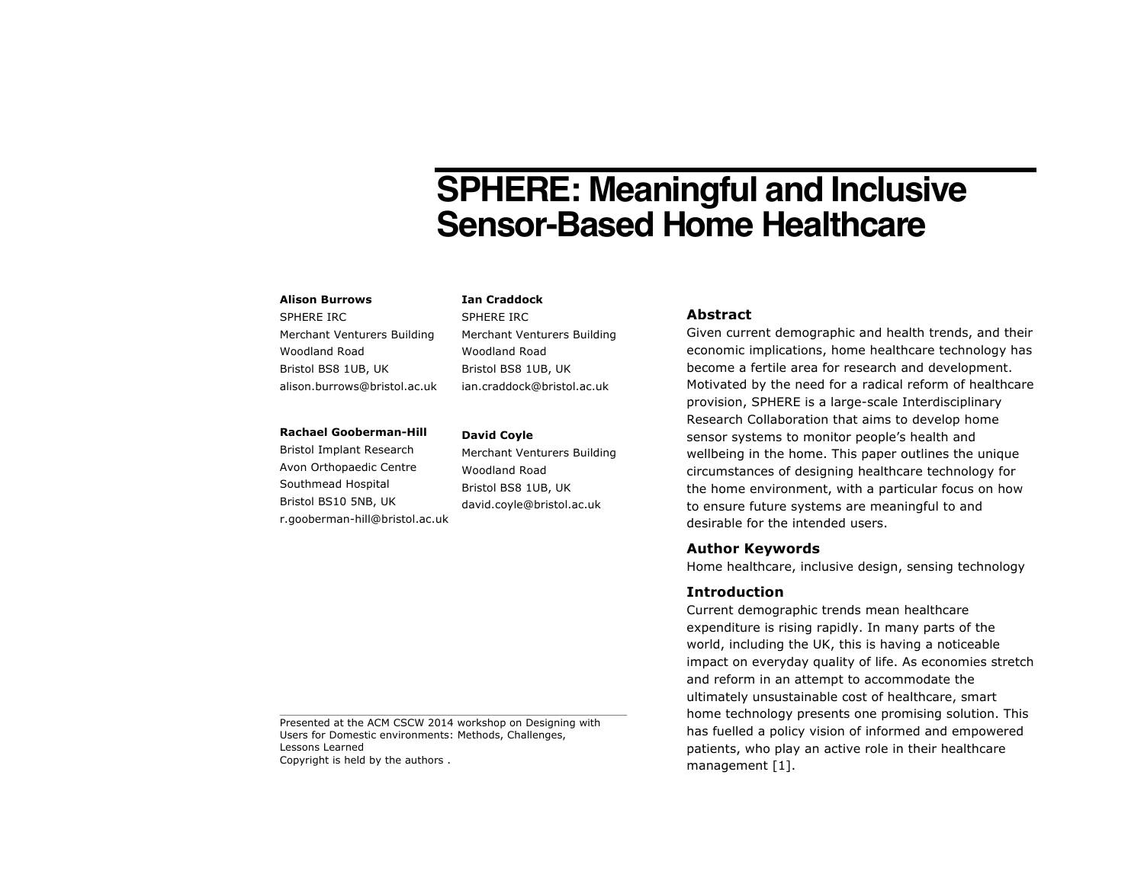# **SPHERE: Meaningful and Inclusive Sensor-Based Home Healthcare**

#### **Alison Burrows**

SPHERE IRC Merchant Venturers Building Woodland Road Bristol BS8 1UB, UK alison.burrows@bristol.ac.uk

#### **Rachael Gooberman-Hill**

Bristol Implant Research Avon Orthopaedic Centre Southmead Hospital Bristol BS10 5NB, UK r.gooberman-hill@bristol.ac.uk

# **David Coyle**

**Ian Craddock** SPHERE IRC

Woodland Road Bristol BS8 1UB, UK ian.craddock@bristol.ac.uk

Merchant Venturers Building Woodland Road Bristol BS8 1UB, UK david.coyle@bristol.ac.uk

Merchant Venturers Building

# **Abstract**

Given current demographic and health trends, and their economic implications, home healthcare technology has become a fertile area for research and development. Motivated by the need for a radical reform of healthcare provision, SPHERE is a large-scale Interdisciplinary Research Collaboration that aims to develop home sensor systems to monitor people's health and wellbeing in the home. This paper outlines the unique circumstances of designing healthcare technology for the home environment, with a particular focus on how to ensure future systems are meaningful to and desirable for the intended users.

## **Author Keywords**

Home healthcare, inclusive design, sensing technology

### **Introduction**

Current demographic trends mean healthcare expenditure is rising rapidly. In many parts of the world, including the UK, this is having a noticeable impact on everyday quality of life. As economies stretch and reform in an attempt to accommodate the ultimately unsustainable cost of healthcare, smart home technology presents one promising solution. This has fuelled a policy vision of informed and empowered patients, who play an active role in their healthcare management [1].

Presented at the ACM CSCW 2014 workshop on Designing with Users for Domestic environments: Methods, Challenges, Lessons Learned Copyright is held by the authors .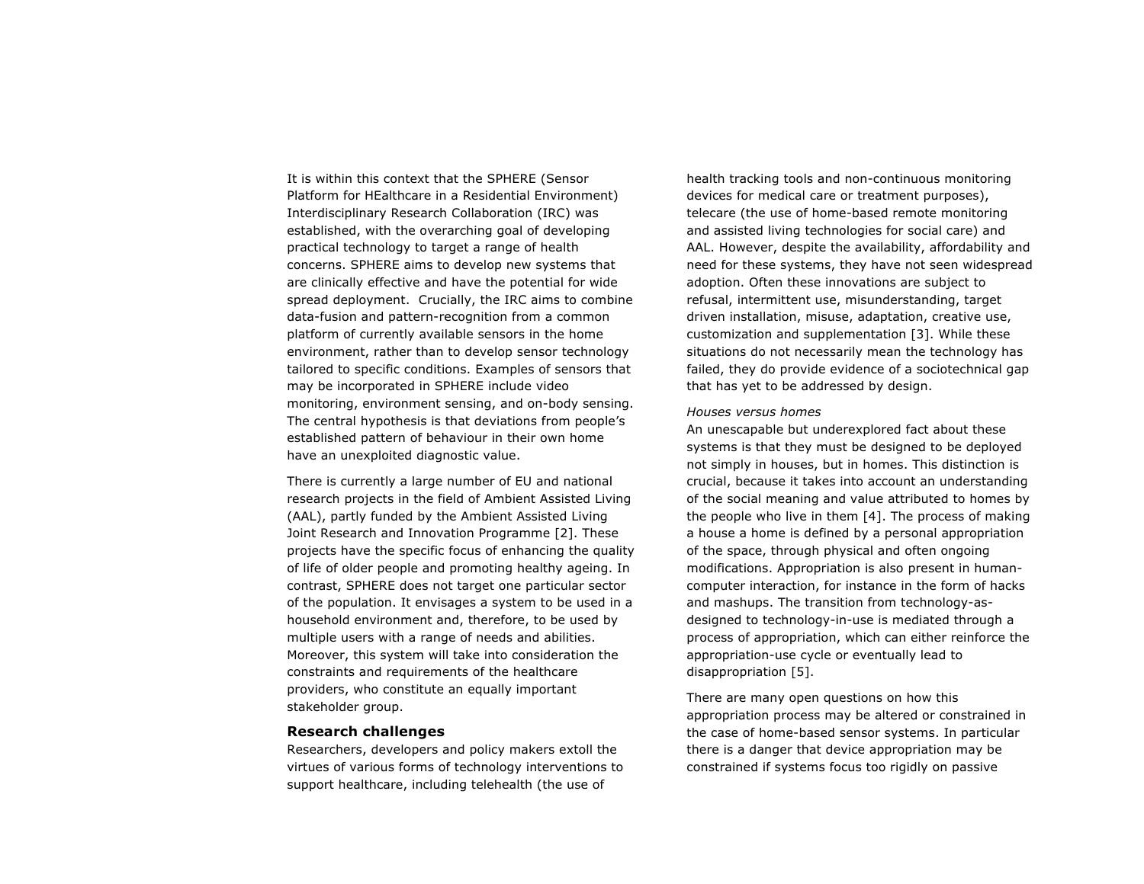It is within this context that the SPHERE (Sensor Platform for HEalthcare in a Residential Environment) Interdisciplinary Research Collaboration (IRC) was established, with the overarching goal of developing practical technology to target a range of health concerns. SPHERE aims to develop new systems that are clinically effective and have the potential for wide spread deployment. Crucially, the IRC aims to combine data-fusion and pattern-recognition from a common platform of currently available sensors in the home environment, rather than to develop sensor technology tailored to specific conditions. Examples of sensors that may be incorporated in SPHERE include video monitoring, environment sensing, and on-body sensing. The central hypothesis is that deviations from people's established pattern of behaviour in their own home have an unexploited diagnostic value.

There is currently a large number of EU and national research projects in the field of Ambient Assisted Living (AAL), partly funded by the Ambient Assisted Living Joint Research and Innovation Programme [2]. These projects have the specific focus of enhancing the quality of life of older people and promoting healthy ageing. In contrast, SPHERE does not target one particular sector of the population. It envisages a system to be used in a household environment and, therefore, to be used by multiple users with a range of needs and abilities. Moreover, this system will take into consideration the constraints and requirements of the healthcare providers, who constitute an equally important stakeholder group.

### **Research challenges**

Researchers, developers and policy makers extoll the virtues of various forms of technology interventions to support healthcare, including telehealth (the use of

health tracking tools and non-continuous monitoring devices for medical care or treatment purposes), telecare (the use of home-based remote monitoring and assisted living technologies for social care) and AAL. However, despite the availability, affordability and need for these systems, they have not seen widespread adoption. Often these innovations are subject to refusal, intermittent use, misunderstanding, target driven installation, misuse, adaptation, creative use, customization and supplementation [3]. While these situations do not necessarily mean the technology has failed, they do provide evidence of a sociotechnical gap that has yet to be addressed by design.

#### *Houses versus homes*

An unescapable but underexplored fact about these systems is that they must be designed to be deployed not simply in houses, but in homes. This distinction is crucial, because it takes into account an understanding of the social meaning and value attributed to homes by the people who live in them [4]. The process of making a house a home is defined by a personal appropriation of the space, through physical and often ongoing modifications. Appropriation is also present in humancomputer interaction, for instance in the form of hacks and mashups. The transition from technology-asdesigned to technology-in-use is mediated through a process of appropriation, which can either reinforce the appropriation-use cycle or eventually lead to disappropriation [5].

There are many open questions on how this appropriation process may be altered or constrained in the case of home-based sensor systems. In particular there is a danger that device appropriation may be constrained if systems focus too rigidly on passive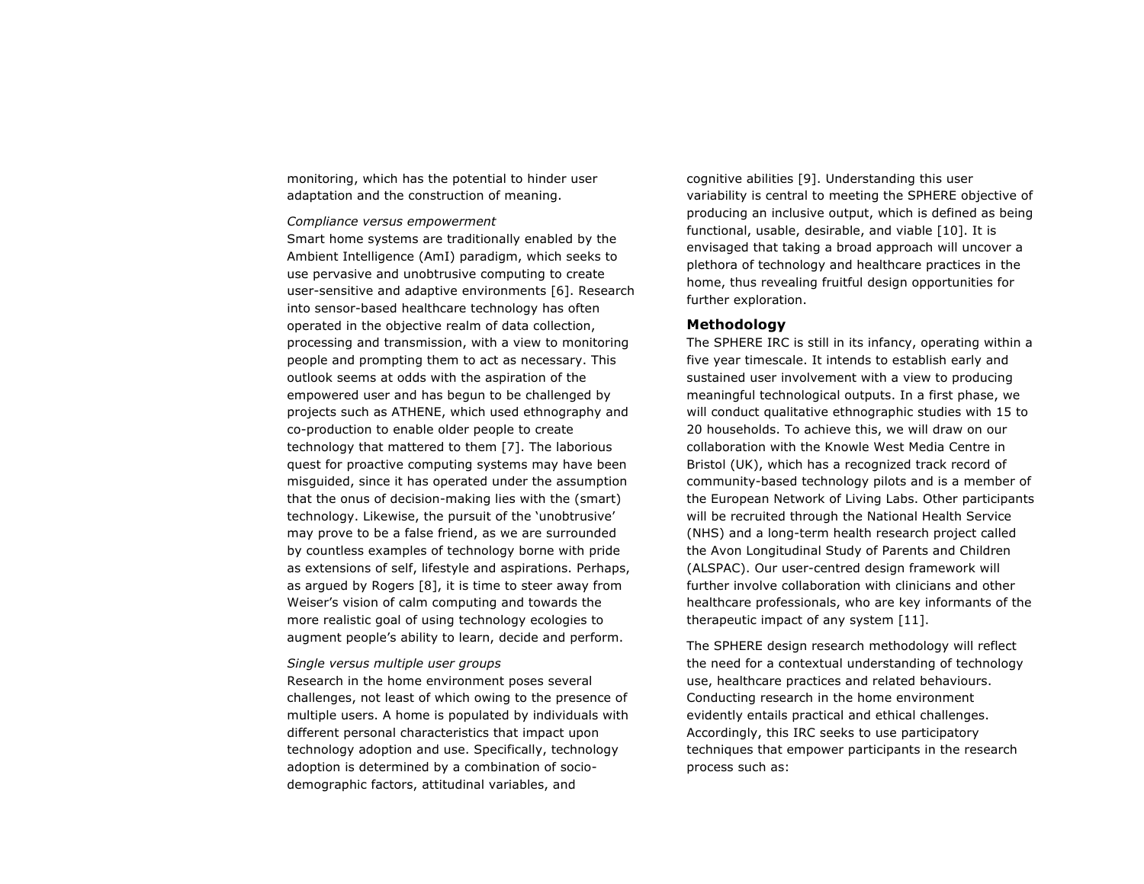monitoring, which has the potential to hinder user adaptation and the construction of meaning.

*Compliance versus empowerment*

Smart home systems are traditionally enabled by the Ambient Intelligence (AmI) paradigm, which seeks to use pervasive and unobtrusive computing to create user-sensitive and adaptive environments [6]. Research into sensor-based healthcare technology has often operated in the objective realm of data collection, processing and transmission, with a view to monitoring people and prompting them to act as necessary. This outlook seems at odds with the aspiration of the empowered user and has begun to be challenged by projects such as ATHENE, which used ethnography and co-production to enable older people to create technology that mattered to them [7]. The laborious quest for proactive computing systems may have been misguided, since it has operated under the assumption that the onus of decision-making lies with the (smart) technology. Likewise, the pursuit of the 'unobtrusive' may prove to be a false friend, as we are surrounded by countless examples of technology borne with pride as extensions of self, lifestyle and aspirations. Perhaps, as argued by Rogers [8], it is time to steer away from Weiser's vision of calm computing and towards the more realistic goal of using technology ecologies to augment people's ability to learn, decide and perform.

#### *Single versus multiple user groups*

Research in the home environment poses several challenges, not least of which owing to the presence of multiple users. A home is populated by individuals with different personal characteristics that impact upon technology adoption and use. Specifically, technology adoption is determined by a combination of sociodemographic factors, attitudinal variables, and

cognitive abilities [9]. Understanding this user variability is central to meeting the SPHERE objective of producing an inclusive output, which is defined as being functional, usable, desirable, and viable [10]. It is envisaged that taking a broad approach will uncover a plethora of technology and healthcare practices in the home, thus revealing fruitful design opportunities for further exploration.

#### **Methodology**

The SPHERE IRC is still in its infancy, operating within a five year timescale. It intends to establish early and sustained user involvement with a view to producing meaningful technological outputs. In a first phase, we will conduct qualitative ethnographic studies with 15 to 20 households. To achieve this, we will draw on our collaboration with the Knowle West Media Centre in Bristol (UK), which has a recognized track record of community-based technology pilots and is a member of the European Network of Living Labs. Other participants will be recruited through the National Health Service (NHS) and a long-term health research project called the Avon Longitudinal Study of Parents and Children (ALSPAC). Our user-centred design framework will further involve collaboration with clinicians and other healthcare professionals, who are key informants of the therapeutic impact of any system [11].

The SPHERE design research methodology will reflect the need for a contextual understanding of technology use, healthcare practices and related behaviours. Conducting research in the home environment evidently entails practical and ethical challenges. Accordingly, this IRC seeks to use participatory techniques that empower participants in the research process such as: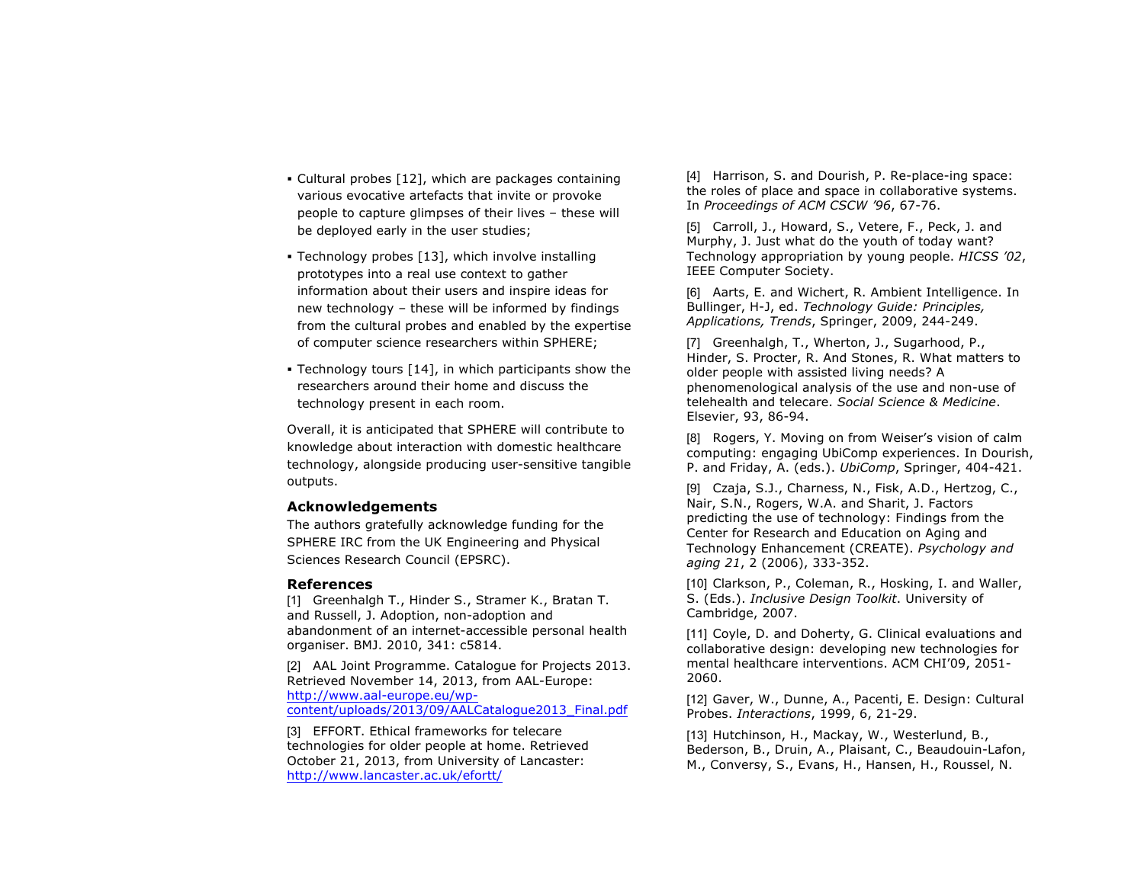- § Cultural probes [12], which are packages containing various evocative artefacts that invite or provoke people to capture glimpses of their lives – these will be deployed early in the user studies;
- § Technology probes [13], which involve installing prototypes into a real use context to gather information about their users and inspire ideas for new technology – these will be informed by findings from the cultural probes and enabled by the expertise of computer science researchers within SPHERE;
- Technology tours [14], in which participants show the researchers around their home and discuss the technology present in each room.

Overall, it is anticipated that SPHERE will contribute to knowledge about interaction with domestic healthcare technology, alongside producing user-sensitive tangible outputs.

#### **Acknowledgements**

The authors gratefully acknowledge funding for the SPHERE IRC from the UK Engineering and Physical Sciences Research Council (EPSRC).

#### **References**

[1] Greenhalgh T., Hinder S., Stramer K., Bratan T. and Russell, J. Adoption, non-adoption and abandonment of an internet-accessible personal health organiser. BMJ. 2010, 341: c5814.

[2] AAL Joint Programme. Catalogue for Projects 2013. Retrieved November 14, 2013, from AAL-Europe: http://www.aal-europe.eu/wpcontent/uploads/2013/09/AALCatalogue2013\_Final.pdf

[3] EFFORT. Ethical frameworks for telecare technologies for older people at home. Retrieved October 21, 2013, from University of Lancaster: http://www.lancaster.ac.uk/efortt/

[4] Harrison, S. and Dourish, P. Re-place-ing space: the roles of place and space in collaborative systems. In *Proceedings of ACM CSCW '96*, 67-76.

[5] Carroll, J., Howard, S., Vetere, F., Peck, J. and Murphy, J. Just what do the youth of today want? Technology appropriation by young people. *HICSS '02*, IEEE Computer Society.

[6] Aarts, E. and Wichert, R. Ambient Intelligence. In Bullinger, H-J, ed. *Technology Guide: Principles, Applications, Trends*, Springer, 2009, 244-249.

[7] Greenhalgh, T., Wherton, J., Sugarhood, P., Hinder, S. Procter, R. And Stones, R. What matters to older people with assisted living needs? A phenomenological analysis of the use and non-use of telehealth and telecare. *Social Science & Medicine*. Elsevier, 93, 86-94.

[8] Rogers, Y. Moving on from Weiser's vision of calm computing: engaging UbiComp experiences. In Dourish, P. and Friday, A. (eds.). *UbiComp*, Springer, 404-421.

[9] Czaja, S.J., Charness, N., Fisk, A.D., Hertzog, C., Nair, S.N., Rogers, W.A. and Sharit, J. Factors predicting the use of technology: Findings from the Center for Research and Education on Aging and Technology Enhancement (CREATE). *Psychology and aging 21*, 2 (2006), 333-352.

[10] Clarkson, P., Coleman, R., Hosking, I. and Waller, S. (Eds.). *Inclusive Design Toolkit*. University of Cambridge, 2007.

[11] Coyle, D. and Doherty, G. Clinical evaluations and collaborative design: developing new technologies for mental healthcare interventions. ACM CHI'09, 2051- 2060.

[12] Gaver, W., Dunne, A., Pacenti, E. Design: Cultural Probes. *Interactions*, 1999, 6, 21-29.

[13] Hutchinson, H., Mackay, W., Westerlund, B., Bederson, B., Druin, A., Plaisant, C., Beaudouin-Lafon, M., Conversy, S., Evans, H., Hansen, H., Roussel, N.